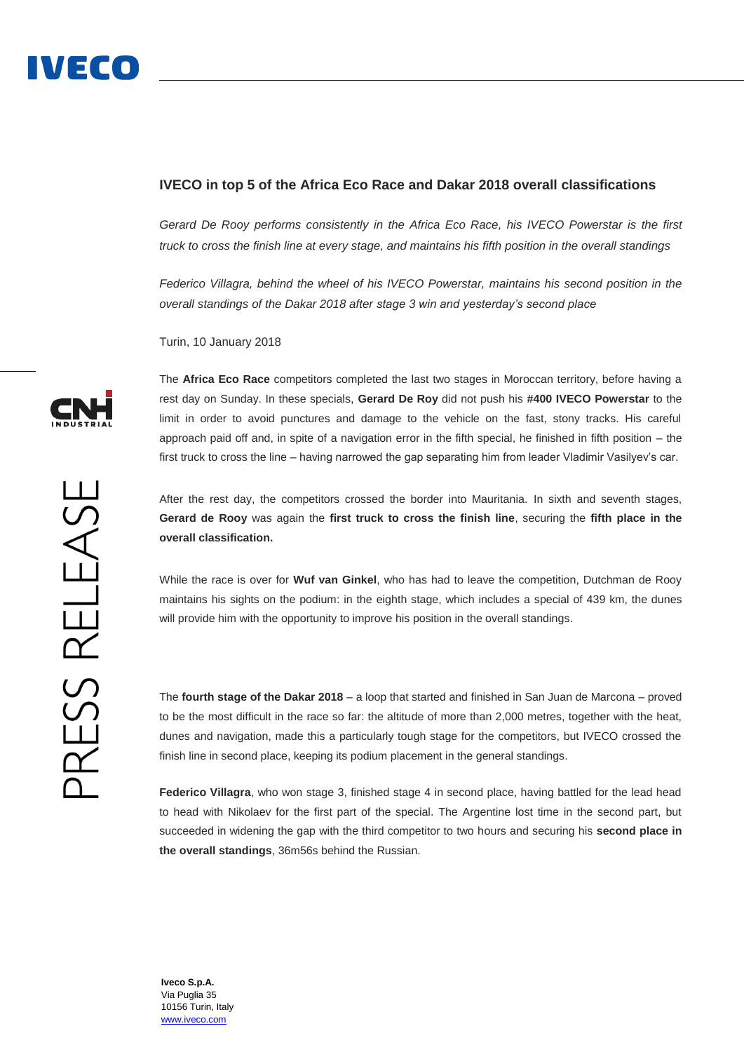## **IVECO in top 5 of the Africa Eco Race and Dakar 2018 overall classifications**

*Gerard De Rooy performs consistently in the Africa Eco Race, his IVECO Powerstar is the first truck to cross the finish line at every stage, and maintains his fifth position in the overall standings*

*Federico Villagra, behind the wheel of his IVECO Powerstar, maintains his second position in the overall standings of the Dakar 2018 after stage 3 win and yesterday's second place*

Turin, 10 January 2018

The **Africa Eco Race** competitors completed the last two stages in Moroccan territory, before having a rest day on Sunday. In these specials, **Gerard De Roy** did not push his **#400 IVECO Powerstar** to the limit in order to avoid punctures and damage to the vehicle on the fast, stony tracks. His careful approach paid off and, in spite of a navigation error in the fifth special, he finished in fifth position – the first truck to cross the line – having narrowed the gap separating him from leader Vladimir Vasilyev's car.

After the rest day, the competitors crossed the border into Mauritania. In sixth and seventh stages, **Gerard de Rooy** was again the **first truck to cross the finish line**, securing the **fifth place in the overall classification.**

While the race is over for **Wuf van Ginkel**, who has had to leave the competition, Dutchman de Rooy maintains his sights on the podium: in the eighth stage, which includes a special of 439 km, the dunes will provide him with the opportunity to improve his position in the overall standings.

The **fourth stage of the Dakar 2018** – a loop that started and finished in San Juan de Marcona – proved to be the most difficult in the race so far: the altitude of more than 2,000 metres, together with the heat, dunes and navigation, made this a particularly tough stage for the competitors, but IVECO crossed the finish line in second place, keeping its podium placement in the general standings.

**Federico Villagra**, who won stage 3, finished stage 4 in second place, having battled for the lead head to head with Nikolaev for the first part of the special. The Argentine lost time in the second part, but succeeded in widening the gap with the third competitor to two hours and securing his **second place in the overall standings**, 36m56s behind the Russian.



**Iveco S.p.A.** Via Puglia 35 10156 Turin, Italy [www.iveco.com](http://www.iveco.com/)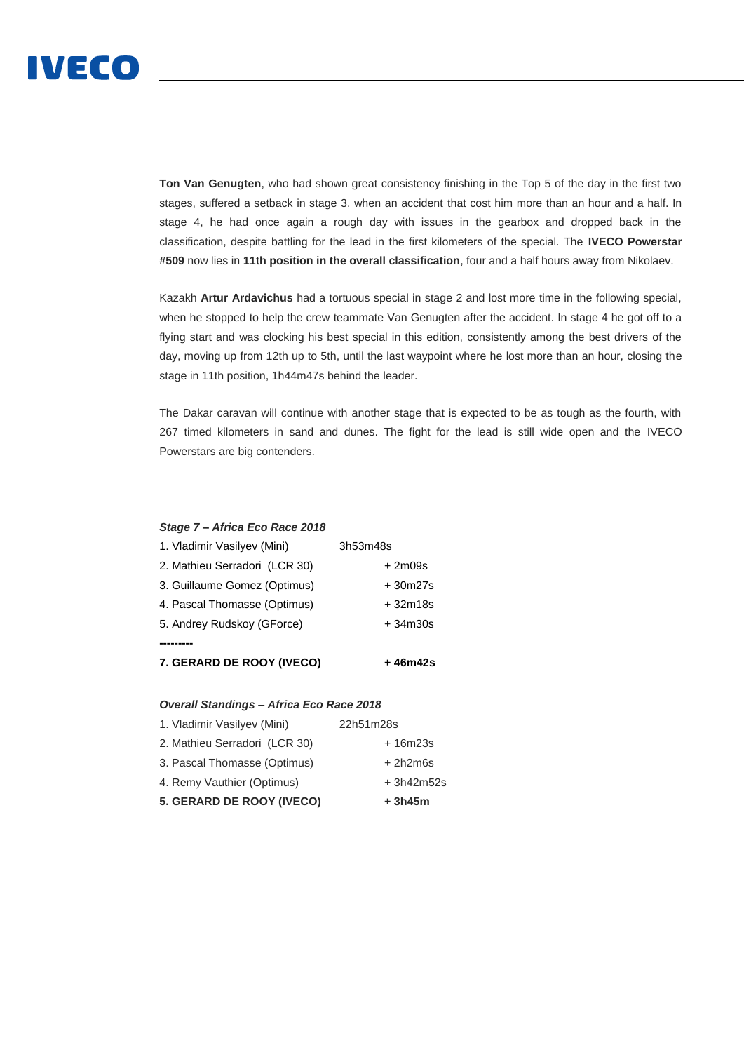

**Ton Van Genugten**, who had shown great consistency finishing in the Top 5 of the day in the first two stages, suffered a setback in stage 3, when an accident that cost him more than an hour and a half. In stage 4, he had once again a rough day with issues in the gearbox and dropped back in the classification, despite battling for the lead in the first kilometers of the special. The **IVECO Powerstar #509** now lies in **11th position in the overall classification**, four and a half hours away from Nikolaev.

Kazakh **Artur Ardavichus** had a tortuous special in stage 2 and lost more time in the following special, when he stopped to help the crew teammate Van Genugten after the accident. In stage 4 he got off to a flying start and was clocking his best special in this edition, consistently among the best drivers of the day, moving up from 12th up to 5th, until the last waypoint where he lost more than an hour, closing the stage in 11th position, 1h44m47s behind the leader.

The Dakar caravan will continue with another stage that is expected to be as tough as the fourth, with 267 timed kilometers in sand and dunes. The fight for the lead is still wide open and the IVECO Powerstars are big contenders.

#### *Stage 7 – Africa Eco Race 2018*

# 1. Vladimir Vasilyev (Mini) 3h53m48s 2. Mathieu Serradori (LCR 30) + 2m09s 3. Guillaume Gomez (Optimus) + 30m27s 4. Pascal Thomasse (Optimus) + 32m18s 5. Andrey Rudskoy (GForce) + 34m30s **---------**

**7. GERARD DE ROOY (IVECO) + 46m42s**

## *Overall Standings – Africa Eco Race 2018*

- 1. Vladimir Vasilyev (Mini) 22h51m28s
- 2. Mathieu Serradori (LCR 30) + 16m23s
- 3. Pascal Thomasse (Optimus) + 2h2m6s
- 4. Remy Vauthier (Optimus) + 3h42m52s
- **5. GERARD DE ROOY (IVECO) + 3h45m**
- -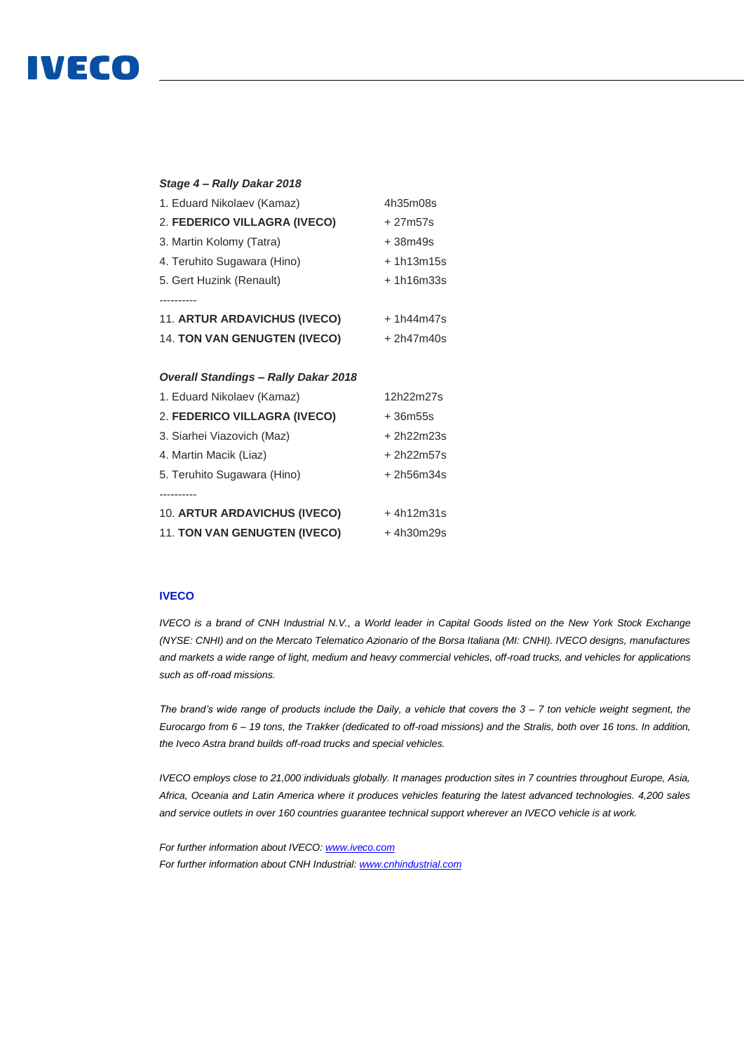# **IVECO**

| Stage 4 - Rally Dakar 2018                  |             |
|---------------------------------------------|-------------|
| 1. Eduard Nikolaev (Kamaz)                  | 4h35m08s    |
| 2. FEDERICO VILLAGRA (IVECO)                | $+27m57s$   |
| 3. Martin Kolomy (Tatra)                    | $+38m49s$   |
| 4. Teruhito Sugawara (Hino)                 | $+1h13m15s$ |
| 5. Gert Huzink (Renault)                    | $+1h16m33s$ |
| .                                           |             |
| <b>11. ARTUR ARDAVICHUS (IVECO)</b>         | $+1h44m47s$ |
| <b>14. TON VAN GENUGTEN (IVECO)</b>         | $+2h47m40s$ |
|                                             |             |
|                                             |             |
| <b>Overall Standings - Rally Dakar 2018</b> |             |
| 1. Eduard Nikolaev (Kamaz)                  | 12h22m27s   |
| 2. FEDERICO VILLAGRA (IVECO)                | +36m55s     |
| 3. Siarhei Viazovich (Maz)                  | + 2h22m23s  |
| 4. Martin Macik (Liaz)                      | + 2h22m57s  |
| 5. Teruhito Sugawara (Hino)                 | + 2h56m34s  |
|                                             |             |
| 10. ARTUR ARDAVICHUS (IVECO)                | $+4h12m31s$ |

### **IVECO**

*IVECO is a brand of CNH Industrial N.V., a World leader in Capital Goods listed on the New York Stock Exchange (NYSE: CNHI) and on the Mercato Telematico Azionario of the Borsa Italiana (MI: CNHI). IVECO designs, manufactures and markets a wide range of light, medium and heavy commercial vehicles, off-road trucks, and vehicles for applications such as off-road missions.* 

*The brand's wide range of products include the Daily, a vehicle that covers the 3 – 7 ton vehicle weight segment, the Eurocargo from 6 – 19 tons, the Trakker (dedicated to off-road missions) and the Stralis, both over 16 tons. In addition, the Iveco Astra brand builds off-road trucks and special vehicles.*

*IVECO employs close to 21,000 individuals globally. It manages production sites in 7 countries throughout Europe, Asia, Africa, Oceania and Latin America where it produces vehicles featuring the latest advanced technologies. 4,200 sales and service outlets in over 160 countries guarantee technical support wherever an IVECO vehicle is at work.*

*For further information about IVECO[: www.iveco.com](http://www.iveco.com/) For further information about CNH Industrial[: www.cnhindustrial.com](http://www.cnhindustrial.com/)*